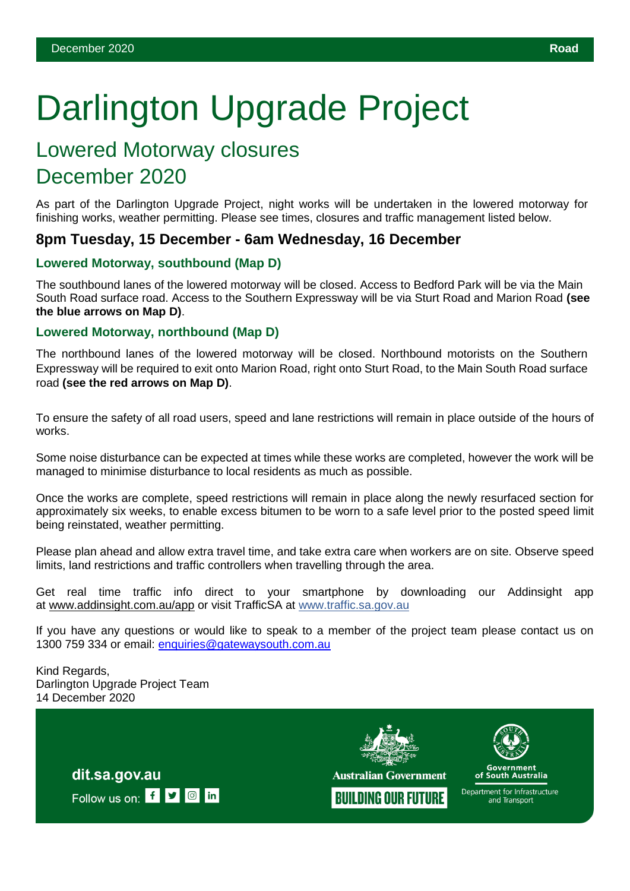# Darlington Upgrade Project

# Lowered Motorway closures December 2020

As part of the Darlington Upgrade Project, night works will be undertaken in the lowered motorway for finishing works, weather permitting. Please see times, closures and traffic management listed below.

## **8pm Tuesday, 15 December - 6am Wednesday, 16 December**

### **Lowered Motorway, southbound (Map D)**

The southbound lanes of the lowered motorway will be closed. Access to Bedford Park will be via the Main South Road surface road. Access to the Southern Expressway will be via Sturt Road and Marion Road **(see the blue arrows on Map D)**.

#### **Lowered Motorway, northbound (Map D)**

The northbound lanes of the lowered motorway will be closed. Northbound motorists on the Southern Expressway will be required to exit onto Marion Road, right onto Sturt Road, to the Main South Road surface road **(see the red arrows on Map D)**.

To ensure the safety of all road users, speed and lane restrictions will remain in place outside of the hours of works.

Some noise disturbance can be expected at times while these works are completed, however the work will be managed to minimise disturbance to local residents as much as possible.

Once the works are complete, speed restrictions will remain in place along the newly resurfaced section for approximately six weeks, to enable excess bitumen to be worn to a safe level prior to the posted speed limit being reinstated, weather permitting.

Please plan ahead and allow extra travel time, and take extra care when workers are on site. Observe speed limits, land restrictions and traffic controllers when travelling through the area.

Get real time traffic info direct to your smartphone by downloading our Addinsight app at [www.addinsight.com.au/app](http://www.addinsight.com.au/app) or visit TrafficSA at [www.traffic.sa.gov.au](http://www.traffic.sa.gov.au/)

If you have any questions or would like to speak to a member of the project team please contact us on 1300 759 334 or email: [enquiries@gatewaysouth.com.au](mailto:enquiries@gatewaysouth.com.au)

Kind Regards, Darlington Upgrade Project Team 14 December 2020







of South Australia

Department for Infrastructure and Transport